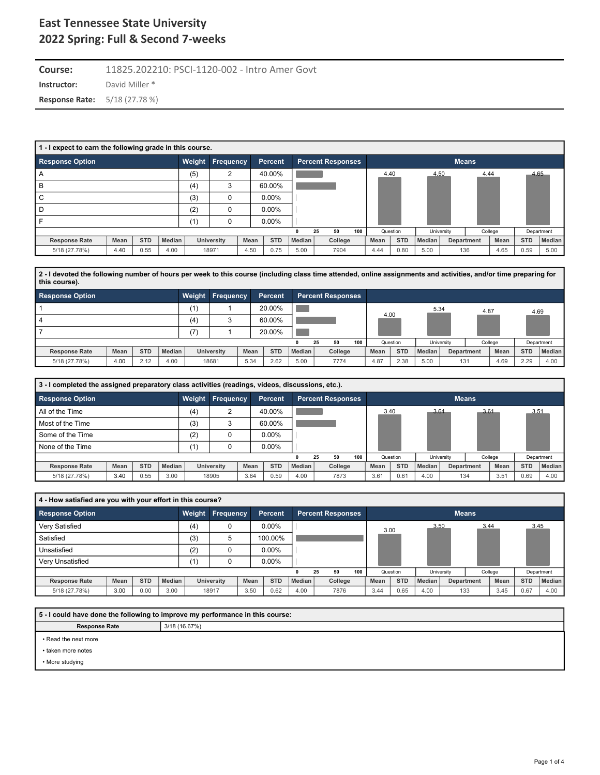**Instructor:** David Miller \* **Course:** 11825.202210: PSCI-1120-002 - Intro Amer Govt **Response Rate:** 5/18 (27.78 %)

| 1 - I expect to earn the following grade in this course. |      |            |        |        |                |      |            |               |                          |     |      |            |        |            |              |         |            |               |
|----------------------------------------------------------|------|------------|--------|--------|----------------|------|------------|---------------|--------------------------|-----|------|------------|--------|------------|--------------|---------|------------|---------------|
| <b>Response Option</b>                                   |      |            |        | Weight | Frequency      |      | Percent    |               | <b>Percent Responses</b> |     |      |            |        |            | <b>Means</b> |         |            |               |
| A                                                        |      |            |        | (5)    | $\overline{2}$ |      | 40.00%     |               |                          |     |      | 4.40       | 4.50   |            | 4.44         |         |            | 4.65          |
| B                                                        |      |            |        | (4)    | 3              |      | 60.00%     |               |                          |     |      |            |        |            |              |         |            |               |
| C                                                        |      |            |        | (3)    | 0              |      | $0.00\%$   |               |                          |     |      |            |        |            |              |         |            |               |
| D                                                        |      |            |        | (2)    | 0              |      | $0.00\%$   |               |                          |     |      |            |        |            |              |         |            |               |
|                                                          |      |            |        | (1)    | 0              |      | $0.00\%$   |               |                          |     |      |            |        |            |              |         |            |               |
|                                                          |      |            |        |        |                |      |            |               | 50<br>25                 | 100 |      | Question   |        | University |              | College |            | Department    |
| <b>Response Rate</b>                                     | Mean | <b>STD</b> | Median |        | University     | Mean | <b>STD</b> | <b>Median</b> | College                  |     | Mean | <b>STD</b> | Median |            | Department   | Mean    | <b>STD</b> | <b>Median</b> |
| 5/18 (27.78%)                                            | 4.40 | 0.55       | 4.00   |        | 18971          | 4.50 | 0.75       | 5.00          | 7904                     |     | 4.44 | 0.80       | 5.00   | 136        |              | 4.65    | 0.59       | 5.00          |

**2 - I devoted the following number of hours per week to this course (including class time attended, online assignments and activities, and/or time preparing for this course).**

| <b>Response Option</b>                     | Weight        | Frequency         |      | Percent    |                     | <b>Percent Responses</b> |     |      |            |          |            |            |         |            |            |
|--------------------------------------------|---------------|-------------------|------|------------|---------------------|--------------------------|-----|------|------------|----------|------------|------------|---------|------------|------------|
|                                            | (1)           |                   |      | 20.00%     |                     |                          |     |      |            | 5.34     |            | 4.87       |         | 4.69       |            |
| 4                                          | (4)           |                   |      | 60.00%     |                     |                          |     | 4.00 |            |          |            |            |         |            |            |
|                                            | (7)           |                   |      | 20.00%     |                     |                          |     |      |            |          |            |            |         |            |            |
|                                            |               |                   |      |            |                     | 50<br>25                 | 100 |      | Question   |          | University |            | College |            | Department |
| <b>STD</b><br>Mean<br><b>Response Rate</b> | <b>Median</b> | <b>University</b> | Mean | <b>STD</b> | Median <sub>1</sub> | College                  |     | Mean | <b>STD</b> | Median I |            | Department | Mean    | <b>STD</b> | Median     |
| 4.00<br>2.12<br>5/18 (27.78%)              | 4.00          | 18681             | 5.34 | 2.62       | 5.00                | 7774                     |     | 4.87 | 2.38       | 5.00     | 131        |            | 4.69    | 2.29       | 4.00       |

| 3 - I completed the assigned preparatory class activities (readings, videos, discussions, etc.). |      |            |        |        |                  |      |                |        |    |                          |     |      |            |        |            |                   |         |            |            |
|--------------------------------------------------------------------------------------------------|------|------------|--------|--------|------------------|------|----------------|--------|----|--------------------------|-----|------|------------|--------|------------|-------------------|---------|------------|------------|
| <b>Response Option</b>                                                                           |      |            |        | Weight | <b>Frequency</b> |      | <b>Percent</b> |        |    | <b>Percent Responses</b> |     |      |            |        |            | <b>Means</b>      |         |            |            |
| All of the Time                                                                                  |      |            |        | (4)    | $\sim$           |      | 40.00%         |        |    |                          |     | 3.40 |            | 3.64   |            | 3.61              |         | 3.51       |            |
| Most of the Time                                                                                 |      |            |        | (3)    |                  |      | 60.00%         |        |    |                          |     |      |            |        |            |                   |         |            |            |
| Some of the Time                                                                                 |      |            |        | (2)    |                  |      | $0.00\%$       |        |    |                          |     |      |            |        |            |                   |         |            |            |
| None of the Time                                                                                 |      |            |        | (1)    |                  |      | $0.00\%$       |        |    |                          |     |      |            |        |            |                   |         |            |            |
|                                                                                                  |      |            |        |        |                  |      |                |        | 25 | 50                       | 100 |      | Question   |        | University |                   | College |            | Department |
| <b>Response Rate</b>                                                                             | Mean | <b>STD</b> | Median |        | University       | Mean | <b>STD</b>     | Median |    | College                  |     | Mean | <b>STD</b> | Median |            | <b>Department</b> | Mean    | <b>STD</b> | Median     |
| 5/18 (27.78%)                                                                                    | 3.40 | 0.55       | 3.00   |        | 18905            | 3.64 | 0.59           | 4.00   |    | 7873                     |     | 3.61 | 0.61       | 4.00   |            | 134               | 3.51    | 0.69       | 4.00       |

| 4 - How satisfied are you with your effort in this course? |      |            |               |     |                  |      |            |               |    |                          |     |      |            |        |            |              |         |            |            |
|------------------------------------------------------------|------|------------|---------------|-----|------------------|------|------------|---------------|----|--------------------------|-----|------|------------|--------|------------|--------------|---------|------------|------------|
| <b>Response Option</b>                                     |      |            |               |     | Weight Frequency |      | Percent    |               |    | <b>Percent Responses</b> |     |      |            |        |            | <b>Means</b> |         |            |            |
| Very Satisfied                                             |      |            |               | (4) |                  |      | $0.00\%$   |               |    |                          |     | 3.00 |            | 3.50   |            | 3.44         |         |            | 3.45       |
| Satisfied                                                  |      |            |               | (3) | 5                |      | 100.00%    |               |    |                          |     |      |            |        |            |              |         |            |            |
| Unsatisfied                                                |      |            |               | (2) |                  |      | $0.00\%$   |               |    |                          |     |      |            |        |            |              |         |            |            |
| Very Unsatisfied                                           |      |            |               | (1) |                  |      | $0.00\%$   |               |    |                          |     |      |            |        |            |              |         |            |            |
|                                                            |      |            |               |     |                  |      |            | 0             | 25 | 50                       | 100 |      | Question   |        | University |              | College |            | Department |
| <b>Response Rate</b>                                       | Mean | <b>STD</b> | <b>Median</b> |     | University       | Mean | <b>STD</b> | <b>Median</b> |    | College                  |     | Mean | <b>STD</b> | Median |            | Department   | Mean    | <b>STD</b> | Median     |
| 5/18 (27.78%)                                              | 3.00 | 0.00       | 3.00          |     | 18917            | 3.50 | 0.62       | 4.00          |    | 7876                     |     | 3.44 | 0.65       | 4.00   |            | 133          | 3.45    | 0.67       | 4.00       |
|                                                            |      |            |               |     |                  |      |            |               |    |                          |     |      |            |        |            |              |         |            |            |

**5 - I could have done the following to improve my performance in this course:**

**Response Rate** 3/18 (16.67%)

• Read the next more

• taken more notes

• More studying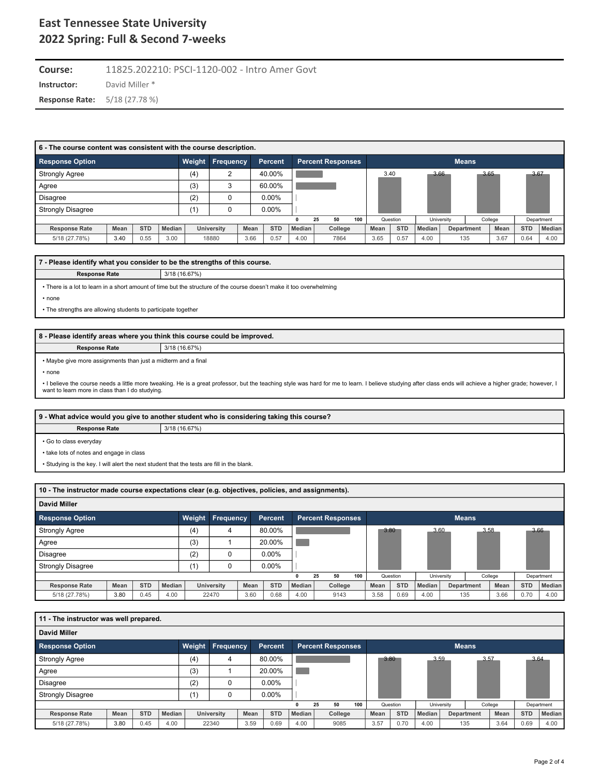**Instructor:** David Miller \* **Course:** 11825.202210: PSCI-1120-002 - Intro Amer Govt **Response Rate:** 5/18 (27.78 %)

| 6 - The course content was consistent with the course description. |      |            |        |        |                  |      |                |               |    |                          |     |      |            |               |            |              |         |            |               |
|--------------------------------------------------------------------|------|------------|--------|--------|------------------|------|----------------|---------------|----|--------------------------|-----|------|------------|---------------|------------|--------------|---------|------------|---------------|
| <b>Response Option</b>                                             |      |            |        | Weight | <b>Frequency</b> |      | <b>Percent</b> |               |    | <b>Percent Responses</b> |     |      |            |               |            | <b>Means</b> |         |            |               |
| <b>Strongly Agree</b>                                              |      |            |        | (4)    | $\sqrt{2}$       |      | 40.00%         |               |    |                          |     | 3.40 |            |               | 3.66       | 3.65         |         | 3.67       |               |
| Agree                                                              |      |            |        | (3)    | ິ                |      | 60.00%         |               |    |                          |     |      |            |               |            |              |         |            |               |
| <b>Disagree</b>                                                    |      |            |        | (2)    |                  |      | $0.00\%$       |               |    |                          |     |      |            |               |            |              |         |            |               |
| <b>Strongly Disagree</b>                                           |      |            |        | (1)    |                  |      | $0.00\%$       |               |    |                          |     |      |            |               |            |              |         |            |               |
|                                                                    |      |            |        |        |                  |      |                | $\mathbf{0}$  | 25 | 50                       | 100 |      | Question   |               | University |              | College |            | Department    |
| <b>Response Rate</b>                                               | Mean | <b>STD</b> | Median |        | University       | Mean | <b>STD</b>     | <b>Median</b> |    | College                  |     | Mean | <b>STD</b> | <b>Median</b> |            | Department   | Mean    | <b>STD</b> | <b>Median</b> |
| 5/18 (27.78%)                                                      | 3.40 | 0.55       | 3.00   |        | 18880            | 3.66 | 0.57           | 4.00          |    | 7864                     |     | 3.65 | 0.57       | 4.00          |            | 135          | 3.67    | 0.64       | 4.00          |

### **7 - Please identify what you consider to be the strengths of this course.**

**Response Rate** 3/18 (16.67%)

• There is a lot to learn in a short amount of time but the structure of the course doesn't make it too overwhelming

• none

• The strengths are allowing students to participate together

#### **8 - Please identify areas where you think this course could be improved.**

**Response Rate** 3/18 (16.67%)

• Maybe give more assignments than just a midterm and a final

• none

. I believe the course needs a little more tweaking. He is a great professor, but the teaching style was hard for me to learn. I believe studying after class ends will achieve a higher grade; however, I want to learn more in class than I do studying.

|                        | 9 - What advice would you give to another student who is considering taking this course? |
|------------------------|------------------------------------------------------------------------------------------|
| <b>Response Rate</b>   | 3/18 (16.67%)                                                                            |
| • Go to class everyday |                                                                                          |

• take lots of notes and engage in class

• Studying is the key. I will alert the next student that the tests are fill in the blank.

| 10 - The instructor made course expectations clear (e.g. objectives, policies, and assignments).                                    |      |            |        |     |            |      |            |        |          |         |     |      |            |               |            |     |         |            |               |
|-------------------------------------------------------------------------------------------------------------------------------------|------|------------|--------|-----|------------|------|------------|--------|----------|---------|-----|------|------------|---------------|------------|-----|---------|------------|---------------|
| David Miller                                                                                                                        |      |            |        |     |            |      |            |        |          |         |     |      |            |               |            |     |         |            |               |
| Weight<br>Frequency<br><b>Response Option</b><br><b>Percent Responses</b><br><b>Means</b><br><b>Percent</b><br>3.80<br>3.60<br>3.58 |      |            |        |     |            |      |            |        |          |         |     |      |            |               |            |     |         |            |               |
| <b>Strongly Agree</b>                                                                                                               |      |            |        | (4) | 4          |      | 80.00%     |        |          |         |     |      |            |               |            |     |         |            | 3.66          |
| Agree                                                                                                                               |      |            |        | (3) |            |      | 20.00%     |        |          |         |     |      |            |               |            |     |         |            |               |
| <b>Disagree</b>                                                                                                                     |      |            |        | (2) | 0          |      | $0.00\%$   |        |          |         |     |      |            |               |            |     |         |            |               |
| <b>Strongly Disagree</b>                                                                                                            |      |            |        | (1) | 0          |      | $0.00\%$   |        |          |         |     |      |            |               |            |     |         |            |               |
|                                                                                                                                     |      |            |        |     |            |      |            |        | 25<br>50 |         | 100 |      | Question   |               | University |     | College |            | Department    |
| <b>Response Rate</b>                                                                                                                | Mean | <b>STD</b> | Median |     | University | Mean | <b>STD</b> | Median |          | College |     | Mean | <b>STD</b> | <b>Median</b> | Department |     | Mean    | <b>STD</b> | <b>Median</b> |
| 5/18 (27.78%)                                                                                                                       | 3.80 | 0.45       | 4.00   |     | 22470      | 3.60 | 0.68       | 4.00   |          | 9143    |     | 3.58 | 0.69       | 4.00          |            | 135 | 3.66    | 0.70       | 4.00          |

| 11 - The instructor was well prepared. |      |            |        |               |                   |      |                |        |    |                          |     |      |            |        |            |              |         |            |               |
|----------------------------------------|------|------------|--------|---------------|-------------------|------|----------------|--------|----|--------------------------|-----|------|------------|--------|------------|--------------|---------|------------|---------------|
| <b>David Miller</b>                    |      |            |        |               |                   |      |                |        |    |                          |     |      |            |        |            |              |         |            |               |
| <b>Response Option</b>                 |      |            |        | <b>Weight</b> | Frequency         |      | <b>Percent</b> |        |    | <b>Percent Responses</b> |     |      |            |        |            | <b>Means</b> |         |            |               |
| <b>Strongly Agree</b>                  |      |            |        | (4)           | 4                 |      | 80.00%         |        |    |                          |     |      | 3.80       | 3.59   |            | 3.57         |         |            | 3.64          |
| Agree                                  |      |            |        | (3)           |                   |      | 20.00%         |        |    |                          |     |      |            |        |            |              |         |            |               |
| <b>Disagree</b>                        |      |            |        | (2)           |                   |      | $0.00\%$       |        |    |                          |     |      |            |        |            |              |         |            |               |
| <b>Strongly Disagree</b>               |      |            |        | (1)           |                   |      | $0.00\%$       |        |    |                          |     |      |            |        |            |              |         |            |               |
|                                        |      |            |        |               |                   |      |                |        | 25 | 50                       | 100 |      | Question   |        | University |              | College |            | Department    |
| <b>Response Rate</b>                   | Mean | <b>STD</b> | Median |               | <b>University</b> | Mean | <b>STD</b>     | Median |    | College                  |     | Mean | <b>STD</b> | Median |            | Department   | Mean    | <b>STD</b> | <b>Median</b> |
| 5/18 (27.78%)                          | 3.80 | 0.45       | 4.00   |               | 22340             | 3.59 | 0.69           | 4.00   |    | 9085                     |     | 3.57 | 0.70       | 4.00   |            | 135          | 3.64    | 0.69       | 4.00          |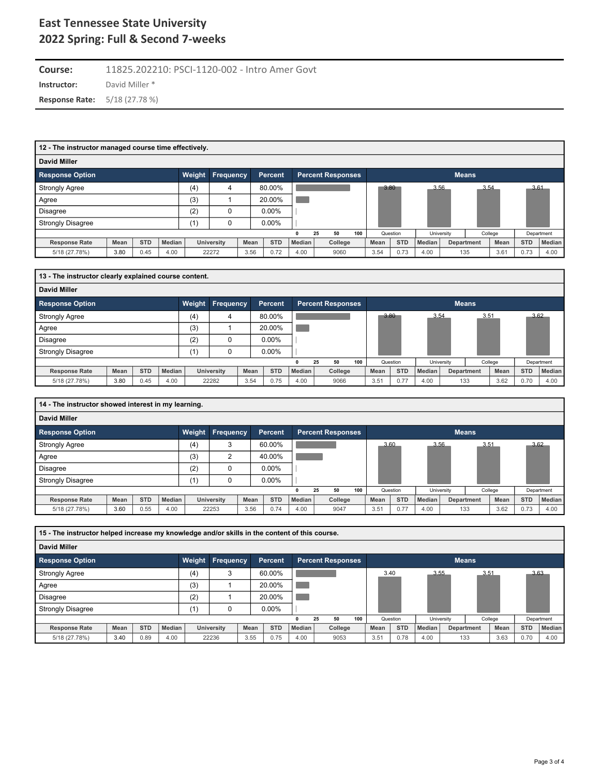**Instructor:** David Miller \* **Course:** 11825.202210: PSCI-1120-002 - Intro Amer Govt **Response Rate:** 5/18 (27.78 %)

| 12 - The instructor managed course time effectively. |      |            |        |        |                  |        |                |        |                          |     |      |            |        |            |              |         |            |               |
|------------------------------------------------------|------|------------|--------|--------|------------------|--------|----------------|--------|--------------------------|-----|------|------------|--------|------------|--------------|---------|------------|---------------|
| David Miller                                         |      |            |        |        |                  |        |                |        |                          |     |      |            |        |            |              |         |            |               |
| <b>Response Option</b>                               |      |            |        | Weight | <b>Frequency</b> |        | <b>Percent</b> |        | <b>Percent Responses</b> |     |      |            |        |            | <b>Means</b> |         |            |               |
| <b>Strongly Agree</b>                                |      |            | (4)    | 4      |                  | 80.00% |                |        |                          |     | 3.80 | 3.56       |        | 3.54       |              | 3.61    |            |               |
| Agree                                                |      |            |        | (3)    |                  |        | 20.00%         |        |                          |     |      |            |        |            |              |         |            |               |
| <b>Disagree</b>                                      |      |            |        | (2)    | 0                |        | $0.00\%$       |        |                          |     |      |            |        |            |              |         |            |               |
| <b>Strongly Disagree</b>                             |      |            |        | (1,    |                  |        | $0.00\%$       |        |                          |     |      |            |        |            |              |         |            |               |
|                                                      |      |            |        |        |                  |        |                | 0      | 25<br>50                 | 100 |      | Question   |        | University |              | College |            | Department    |
| <b>Response Rate</b>                                 | Mean | <b>STD</b> | Median |        | University       | Mean   | <b>STD</b>     | Median | College                  |     | Mean | <b>STD</b> | Median |            | Department   | Mean    | <b>STD</b> | <b>Median</b> |
| 5/18 (27.78%)                                        | 3.80 | 0.45       | 4.00   |        | 22272            | 3.56   | 0.72           | 4.00   | 9060                     |     | 3.54 | 0.73       | 4.00   |            | 135          | 3.61    | 0.73       | 4.00          |

| 13 - The instructor clearly explained course content. |      |            |        |        |                   |      |                |        |                          |     |      |            |        |            |              |         |            |            |
|-------------------------------------------------------|------|------------|--------|--------|-------------------|------|----------------|--------|--------------------------|-----|------|------------|--------|------------|--------------|---------|------------|------------|
| <b>David Miller</b>                                   |      |            |        |        |                   |      |                |        |                          |     |      |            |        |            |              |         |            |            |
| <b>Response Option</b>                                |      |            |        | Weight | Frequency         |      | <b>Percent</b> |        | <b>Percent Responses</b> |     |      |            |        |            | <b>Means</b> |         |            |            |
| <b>Strongly Agree</b>                                 |      |            |        | (4)    | 4                 |      | 80.00%         |        |                          |     | 3.80 |            | 3.54   |            | 3.51         |         |            | 3.62       |
| Agree                                                 |      |            |        | (3)    |                   |      | 20.00%         |        |                          |     |      |            |        |            |              |         |            |            |
| <b>Disagree</b>                                       |      |            |        | (2)    |                   |      | $0.00\%$       |        |                          |     |      |            |        |            |              |         |            |            |
| <b>Strongly Disagree</b>                              |      |            |        | (1)    |                   |      | $0.00\%$       |        |                          |     |      |            |        |            |              |         |            |            |
|                                                       |      |            |        |        |                   |      |                |        | 50<br>25                 | 100 |      | Question   |        | University |              | College |            | Department |
| <b>Response Rate</b>                                  | Mean | <b>STD</b> | Median |        | <b>University</b> | Mean | <b>STD</b>     | Median | College                  |     | Mean | <b>STD</b> | Median |            | Department   | Mean    | <b>STD</b> | Median     |
| 5/18 (27.78%)                                         | 3.80 | 0.45       | 4.00   |        | 22282             | 3.54 | 0.75           | 4.00   | 9066                     |     | 3.51 | 0.77       | 4.00   |            | 133          | 3.62    | 0.70       | 4.00       |

| 14 - The instructor showed interest in my learning. |      |            |        |        |                   |      |                |        |                          |     |          |            |        |                   |         |      |            |            |
|-----------------------------------------------------|------|------------|--------|--------|-------------------|------|----------------|--------|--------------------------|-----|----------|------------|--------|-------------------|---------|------|------------|------------|
| <b>David Miller</b>                                 |      |            |        |        |                   |      |                |        |                          |     |          |            |        |                   |         |      |            |            |
| <b>Response Option</b>                              |      |            |        | Weight | <b>Frequency</b>  |      | <b>Percent</b> |        | <b>Percent Responses</b> |     |          |            |        | <b>Means</b>      |         |      |            |            |
| <b>Strongly Agree</b>                               |      |            |        | (4)    | 3                 |      | 60.00%         |        |                          |     | 3.60     |            | 3.56   |                   | 3.51    |      | 3.62       |            |
| Agree                                               |      |            |        | (3)    | c                 |      | 40.00%         |        |                          |     |          |            |        |                   |         |      |            |            |
| <b>Disagree</b>                                     |      |            |        | (2)    |                   |      | $0.00\%$       |        |                          |     |          |            |        |                   |         |      |            |            |
| <b>Strongly Disagree</b>                            |      |            |        | (1)    |                   |      | $0.00\%$       |        |                          |     |          |            |        |                   |         |      |            |            |
|                                                     |      |            |        |        |                   |      |                |        | 50<br>25                 | 100 | Question |            |        | University        | College |      |            | Department |
| <b>Response Rate</b>                                | Mean | <b>STD</b> | Median |        | <b>University</b> | Mean | <b>STD</b>     | Median | College                  |     | Mean     | <b>STD</b> | Median | <b>Department</b> |         | Mean | <b>STD</b> | Median     |
| 5/18 (27.78%)                                       | 3.60 | 0.55       | 4.00   |        | 22253             | 3.56 | 0.74           | 4.00   | 9047                     |     | 3.51     | 0.77       | 4.00   | 133               |         | 3.62 | 0.73       | 4.00       |

| 15 - The instructor helped increase my knowledge and/or skills in the content of this course. |      |            |        |        |                  |      |                |        |                          |     |      |            |        |            |              |         |            |               |
|-----------------------------------------------------------------------------------------------|------|------------|--------|--------|------------------|------|----------------|--------|--------------------------|-----|------|------------|--------|------------|--------------|---------|------------|---------------|
| <b>David Miller</b>                                                                           |      |            |        |        |                  |      |                |        |                          |     |      |            |        |            |              |         |            |               |
| <b>Response Option</b>                                                                        |      |            |        | Weight | <b>Frequency</b> |      | <b>Percent</b> |        | <b>Percent Responses</b> |     |      |            |        |            | <b>Means</b> |         |            |               |
| <b>Strongly Agree</b>                                                                         |      |            |        | (4)    | 3                |      | 60.00%         |        |                          |     | 3.40 |            |        | 3.55       | 3.51         |         | 3.63       |               |
| Agree                                                                                         |      |            |        | (3)    |                  |      | 20.00%         |        |                          |     |      |            |        |            |              |         |            |               |
| <b>Disagree</b>                                                                               |      |            |        | (2)    |                  |      | 20.00%         |        |                          |     |      |            |        |            |              |         |            |               |
| <b>Strongly Disagree</b>                                                                      |      |            |        | (1)    |                  |      | $0.00\%$       |        |                          |     |      |            |        |            |              |         |            |               |
|                                                                                               |      |            |        |        |                  |      |                |        | 50<br>25                 | 100 |      | Question   |        | University |              | College |            | Department    |
| <b>Response Rate</b>                                                                          | Mean | <b>STD</b> | Median |        | University       | Mean | <b>STD</b>     | Median | College                  |     | Mean | <b>STD</b> | Median |            | Department   | Mean    | <b>STD</b> | <b>Median</b> |
| 5/18 (27.78%)                                                                                 | 3.40 | 0.89       | 4.00   |        | 22236            | 3.55 | 0.75           | 4.00   | 9053                     |     | 3.51 | 0.78       | 4.00   |            | 133          | 3.63    | 0.70       | 4.00          |